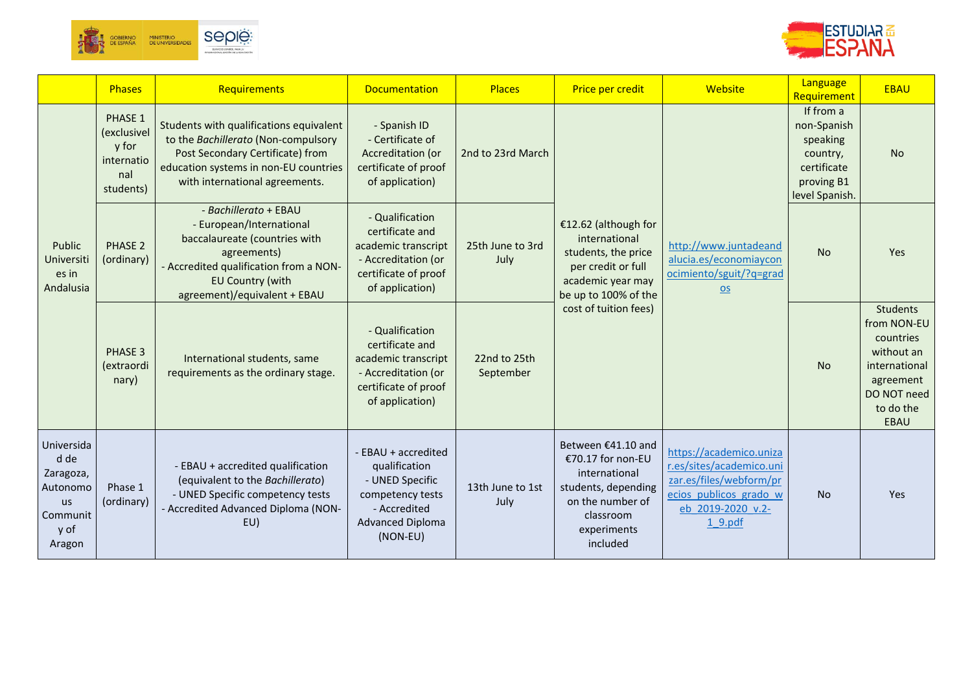



|                                                                                        | <b>Phases</b>                                                            | Requirements                                                                                                                                                                                    | <b>Documentation</b>                                                                                                               | <b>Places</b>             | Price per credit                                                                                                                            | Website                                                                                                                                  | Language<br>Requirement                                                                         | <b>EBAU</b>                                                                                                                        |
|----------------------------------------------------------------------------------------|--------------------------------------------------------------------------|-------------------------------------------------------------------------------------------------------------------------------------------------------------------------------------------------|------------------------------------------------------------------------------------------------------------------------------------|---------------------------|---------------------------------------------------------------------------------------------------------------------------------------------|------------------------------------------------------------------------------------------------------------------------------------------|-------------------------------------------------------------------------------------------------|------------------------------------------------------------------------------------------------------------------------------------|
|                                                                                        | <b>PHASE 1</b><br>(exclusivel<br>y for<br>internatio<br>nal<br>students) | Students with qualifications equivalent<br>to the Bachillerato (Non-compulsory<br>Post Secondary Certificate) from<br>education systems in non-EU countries<br>with international agreements.   | - Spanish ID<br>- Certificate of<br>Accreditation (or<br>certificate of proof<br>of application)                                   | 2nd to 23rd March         |                                                                                                                                             |                                                                                                                                          | If from a<br>non-Spanish<br>speaking<br>country,<br>certificate<br>proving B1<br>level Spanish. | <b>No</b>                                                                                                                          |
| Public<br>Universiti<br>es in<br>Andalusia                                             | <b>PHASE 2</b><br>(ordinary)                                             | - Bachillerato + EBAU<br>- European/International<br>baccalaureate (countries with<br>agreements)<br>- Accredited qualification from a NON-<br>EU Country (with<br>agreement)/equivalent + EBAU | - Qualification<br>certificate and<br>academic transcript<br>- Accreditation (or<br>certificate of proof<br>of application)        | 25th June to 3rd<br>July  | €12.62 (although for<br>international<br>students, the price<br>per credit or full<br>academic year may<br>be up to 100% of the             | http://www.juntadeand<br>alucia.es/economiaycon<br>ocimiento/sguit/?q=grad<br><b>OS</b>                                                  | <b>No</b>                                                                                       | Yes                                                                                                                                |
|                                                                                        | PHASE 3<br>(extraordi<br>nary)                                           | International students, same<br>requirements as the ordinary stage.                                                                                                                             | - Qualification<br>certificate and<br>academic transcript<br>- Accreditation (or<br>certificate of proof<br>of application)        | 22nd to 25th<br>September | cost of tuition fees)                                                                                                                       |                                                                                                                                          | <b>No</b>                                                                                       | <b>Students</b><br>from NON-EU<br>countries<br>without an<br>international<br>agreement<br>DO NOT need<br>to do the<br><b>EBAU</b> |
| Universida<br>d de<br>Zaragoza,<br>Autonomo<br><b>us</b><br>Communit<br>y of<br>Aragon | Phase 1<br>(ordinary)                                                    | - EBAU + accredited qualification<br>(equivalent to the Bachillerato)<br>- UNED Specific competency tests<br>- Accredited Advanced Diploma (NON-<br>EU)                                         | - EBAU + accredited<br>qualification<br>- UNED Specific<br>competency tests<br>- Accredited<br><b>Advanced Diploma</b><br>(NON-EU) | 13th June to 1st<br>July  | Between €41.10 and<br>€70.17 for non-EU<br>international<br>students, depending<br>on the number of<br>classroom<br>experiments<br>included | https://academico.uniza<br>r.es/sites/academico.uni<br>zar.es/files/webform/pr<br>ecios publicos grado w<br>eb 2019-2020 v.2-<br>1 9.pdf | <b>No</b>                                                                                       | Yes                                                                                                                                |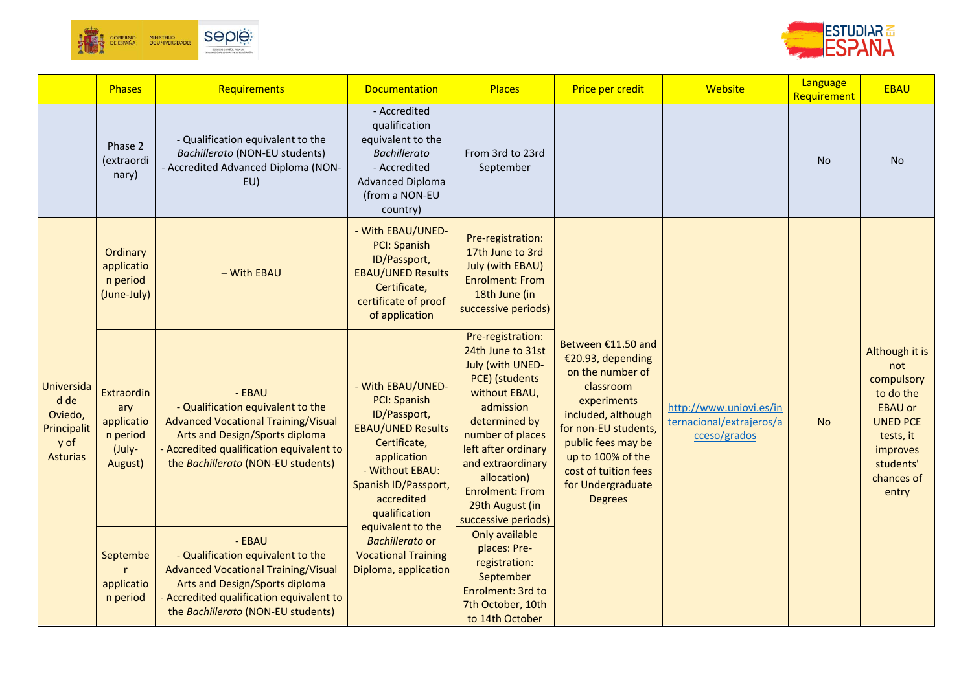



|                                                                         | <b>Phases</b>                                                    | Requirements                                                                                                                                                                                                | <b>Documentation</b>                                                                                                                                                                          | <b>Places</b>                                                                                                                                                                                                                                                                  | Price per credit                                                                                                                                                                                                                                | Website                                                             | Language<br>Requirement | <b>EBAU</b>                                                                                                                                        |
|-------------------------------------------------------------------------|------------------------------------------------------------------|-------------------------------------------------------------------------------------------------------------------------------------------------------------------------------------------------------------|-----------------------------------------------------------------------------------------------------------------------------------------------------------------------------------------------|--------------------------------------------------------------------------------------------------------------------------------------------------------------------------------------------------------------------------------------------------------------------------------|-------------------------------------------------------------------------------------------------------------------------------------------------------------------------------------------------------------------------------------------------|---------------------------------------------------------------------|-------------------------|----------------------------------------------------------------------------------------------------------------------------------------------------|
|                                                                         | Phase 2<br>(extraordi<br>nary)                                   | - Qualification equivalent to the<br>Bachillerato (NON-EU students)<br>- Accredited Advanced Diploma (NON-<br>EU)                                                                                           | - Accredited<br>qualification<br>equivalent to the<br><b>Bachillerato</b><br>- Accredited<br><b>Advanced Diploma</b><br>(from a NON-EU<br>country)                                            | From 3rd to 23rd<br>September                                                                                                                                                                                                                                                  |                                                                                                                                                                                                                                                 |                                                                     | <b>No</b>               | <b>No</b>                                                                                                                                          |
|                                                                         | Ordinary<br>applicatio<br>n period<br>(June-July)                | - With EBAU                                                                                                                                                                                                 | - With EBAU/UNED-<br>PCI: Spanish<br>ID/Passport,<br><b>EBAU/UNED Results</b><br>Certificate,<br>certificate of proof<br>of application                                                       | Pre-registration:<br>17th June to 3rd<br><b>July (with EBAU)</b><br><b>Enrolment: From</b><br>18th June (in<br>successive periods)                                                                                                                                             |                                                                                                                                                                                                                                                 |                                                                     |                         |                                                                                                                                                    |
| Universida<br>d de<br>Oviedo,<br>Principalit<br>y of<br><b>Asturias</b> | Extraordin<br>ary<br>applicatio<br>n period<br>(July-<br>August) | - EBAU<br>- Qualification equivalent to the<br><b>Advanced Vocational Training/Visual</b><br>Arts and Design/Sports diploma<br>Accredited qualification equivalent to<br>the Bachillerato (NON-EU students) | - With EBAU/UNED-<br><b>PCI: Spanish</b><br>ID/Passport,<br><b>EBAU/UNED Results</b><br>Certificate,<br>application<br>- Without EBAU:<br>Spanish ID/Passport,<br>accredited<br>qualification | Pre-registration:<br>24th June to 31st<br>July (with UNED-<br>PCE) (students<br>without EBAU,<br>admission<br>determined by<br>number of places<br>left after ordinary<br>and extraordinary<br>allocation)<br><b>Enrolment: From</b><br>29th August (in<br>successive periods) | Between €11.50 and<br>€20.93, depending<br>on the number of<br>classroom<br>experiments<br>included, although<br>for non-EU students,<br>public fees may be<br>up to 100% of the<br>cost of tuition fees<br>for Undergraduate<br><b>Degrees</b> | http://www.uniovi.es/in<br>ternacional/extrajeros/a<br>cceso/grados | <b>No</b>               | Although it is<br>not<br>compulsory<br>to do the<br><b>EBAU or</b><br><b>UNED PCE</b><br>tests, it<br>improves<br>students'<br>chances of<br>entry |
|                                                                         | Septembe<br>applicatio<br>n period                               | - EBAU<br>- Qualification equivalent to the<br><b>Advanced Vocational Training/Visual</b><br>Arts and Design/Sports diploma<br>Accredited qualification equivalent to<br>the Bachillerato (NON-EU students) | equivalent to the<br>Bachillerato or<br><b>Vocational Training</b><br>Diploma, application                                                                                                    | Only available<br>places: Pre-<br>registration:<br>September<br>Enrolment: 3rd to<br>7th October, 10th<br>to 14th October                                                                                                                                                      |                                                                                                                                                                                                                                                 |                                                                     |                         |                                                                                                                                                    |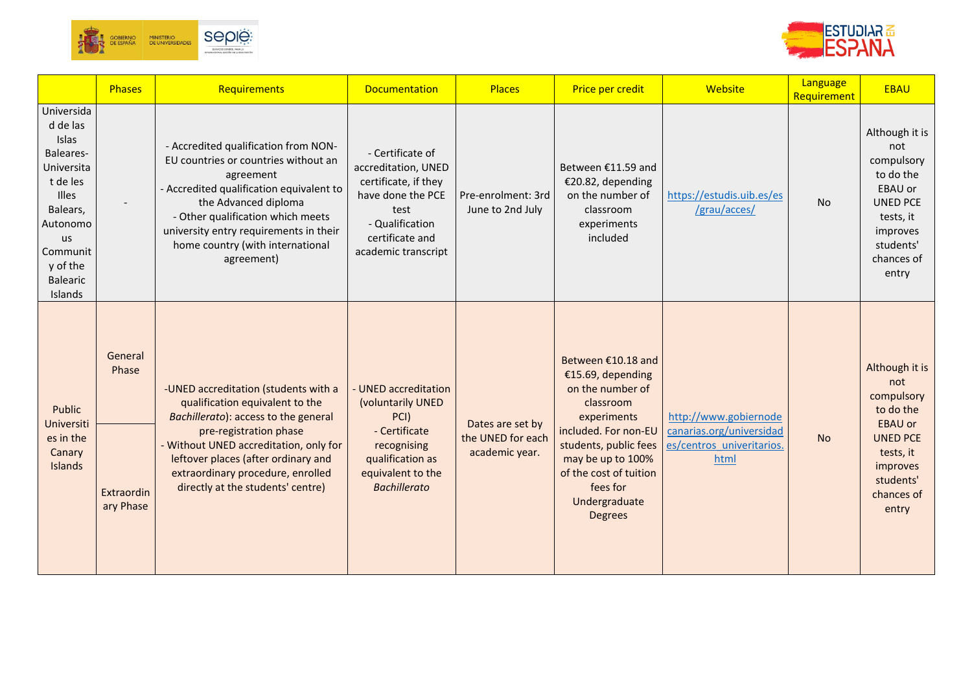



|                                                                                                                                                                            | Phases                                      | Requirements                                                                                                                                                                                                                                                                                       | <b>Documentation</b>                                                                                                                                      | <b>Places</b>                                           | Price per credit                                                                                                                                                                                                                       | Website                                                                                | Language<br>Requirement | <b>EBAU</b>                                                                                                                                        |
|----------------------------------------------------------------------------------------------------------------------------------------------------------------------------|---------------------------------------------|----------------------------------------------------------------------------------------------------------------------------------------------------------------------------------------------------------------------------------------------------------------------------------------------------|-----------------------------------------------------------------------------------------------------------------------------------------------------------|---------------------------------------------------------|----------------------------------------------------------------------------------------------------------------------------------------------------------------------------------------------------------------------------------------|----------------------------------------------------------------------------------------|-------------------------|----------------------------------------------------------------------------------------------------------------------------------------------------|
| Universida<br>d de las<br>Islas<br>Baleares-<br>Universita<br>t de les<br><b>Illes</b><br>Balears,<br>Autonomo<br>us<br>Communit<br>y of the<br><b>Balearic</b><br>Islands |                                             | - Accredited qualification from NON-<br>EU countries or countries without an<br>agreement<br>- Accredited qualification equivalent to<br>the Advanced diploma<br>- Other qualification which meets<br>university entry requirements in their<br>home country (with international<br>agreement)     | - Certificate of<br>accreditation, UNED<br>certificate, if they<br>have done the PCE<br>test<br>- Qualification<br>certificate and<br>academic transcript | Pre-enrolment: 3rd<br>June to 2nd July                  | Between €11.59 and<br>€20.82, depending<br>on the number of<br>classroom<br>experiments<br>included                                                                                                                                    | https://estudis.uib.es/es<br>/grau/acces/                                              | <b>No</b>               | Although it is<br>not<br>compulsory<br>to do the<br>EBAU or<br><b>UNED PCE</b><br>tests, it<br>improves<br>students'<br>chances of<br>entry        |
| Public<br>Universiti<br>es in the<br>Canary<br>Islands                                                                                                                     | General<br>Phase<br>Extraordin<br>ary Phase | -UNED accreditation (students with a<br>qualification equivalent to the<br>Bachillerato): access to the general<br>pre-registration phase<br>Without UNED accreditation, only for<br>leftover places (after ordinary and<br>extraordinary procedure, enrolled<br>directly at the students' centre) | UNED accreditation<br>(voluntarily UNED<br>PCI)<br>- Certificate<br>recognising<br>qualification as<br>equivalent to the<br><b>Bachillerato</b>           | Dates are set by<br>the UNED for each<br>academic year. | Between €10.18 and<br>€15.69, depending<br>on the number of<br>classroom<br>experiments<br>included. For non-EU<br>students, public fees<br>may be up to 100%<br>of the cost of tuition<br>fees for<br>Undergraduate<br><b>Degrees</b> | http://www.gobiernode<br>canarias.org/universidad<br>es/centros univeritarios.<br>html | <b>No</b>               | Although it is<br>not<br>compulsory<br>to do the<br><b>EBAU or</b><br><b>UNED PCE</b><br>tests, it<br>improves<br>students'<br>chances of<br>entry |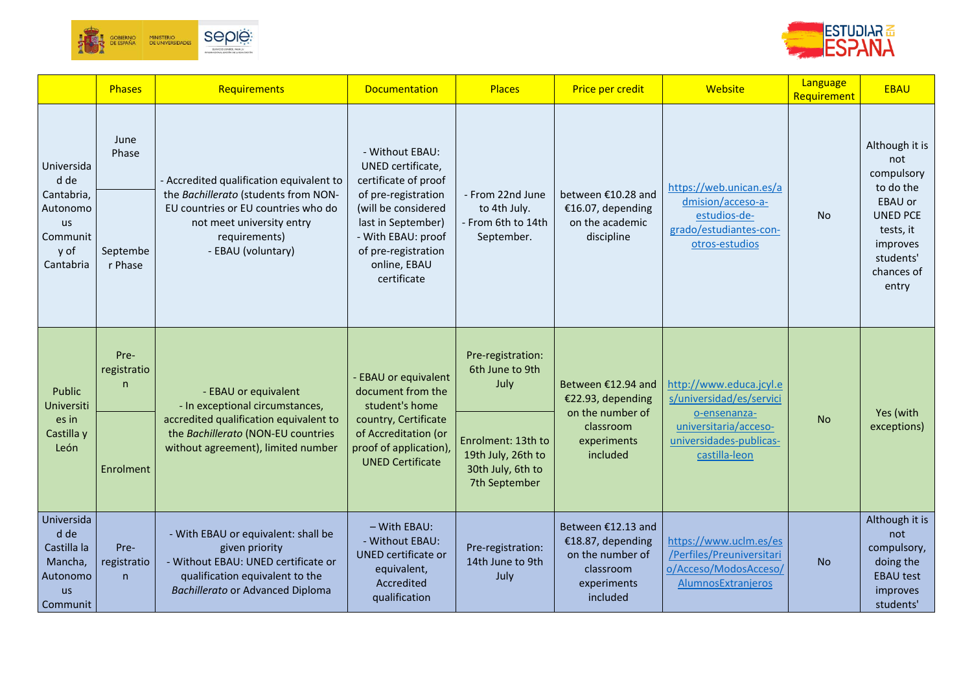



|                                                                                   | <b>Phases</b>            | Requirements                                                                                                                                                               | <b>Documentation</b>                                                                                                                         | <b>Places</b>                                                                  | Price per credit                                                                                    | Website                                                                                            | Language<br>Requirement | <b>EBAU</b>                                                                                    |
|-----------------------------------------------------------------------------------|--------------------------|----------------------------------------------------------------------------------------------------------------------------------------------------------------------------|----------------------------------------------------------------------------------------------------------------------------------------------|--------------------------------------------------------------------------------|-----------------------------------------------------------------------------------------------------|----------------------------------------------------------------------------------------------------|-------------------------|------------------------------------------------------------------------------------------------|
| Universida<br>d de                                                                | June<br>Phase            | - Accredited qualification equivalent to                                                                                                                                   | - Without EBAU:<br>UNED certificate,<br>certificate of proof                                                                                 |                                                                                |                                                                                                     | https://web.unican.es/a                                                                            |                         | Although it is<br>not<br>compulsory<br>to do the                                               |
| Cantabria,<br>Autonomo<br><b>us</b><br>Communit<br>y of<br>Cantabria              | Septembe<br>r Phase      | the Bachillerato (students from NON-<br>EU countries or EU countries who do<br>not meet university entry<br>requirements)<br>- EBAU (voluntary)                            | of pre-registration<br>(will be considered<br>last in September)<br>- With EBAU: proof<br>of pre-registration<br>online, EBAU<br>certificate | - From 22nd June<br>to 4th July.<br>- From 6th to 14th<br>September.           | between €10.28 and<br>€16.07, depending<br>on the academic<br>discipline                            | dmision/acceso-a-<br>estudios-de-<br>grado/estudiantes-con-<br>otros-estudios                      | <b>No</b>               | <b>EBAU or</b><br><b>UNED PCE</b><br>tests, it<br>improves<br>students'<br>chances of<br>entry |
| Public<br>Universiti                                                              | Pre-<br>registratio<br>n | - EBAU or equivalent<br>- In exceptional circumstances,                                                                                                                    | <b>EBAU</b> or equivalent<br>document from the<br>student's home                                                                             | Pre-registration:<br>6th June to 9th<br>July                                   | Between €12.94 and<br>€22.93, depending<br>on the number of                                         | http://www.educa.jcyl.e<br>s/universidad/es/servici                                                |                         | Yes (with                                                                                      |
| es in<br>Castilla y<br>León                                                       | Enrolment                | accredited qualification equivalent to<br>the Bachillerato (NON-EU countries<br>without agreement), limited number                                                         | country, Certificate<br>of Accreditation (or<br>proof of application),<br><b>UNED Certificate</b>                                            | Enrolment: 13th to<br>19th July, 26th to<br>30th July, 6th to<br>7th September | classroom<br>experiments<br>included                                                                | o-ensenanza-<br>universitaria/acceso-<br>universidades-publicas-<br>castilla-leon                  | <b>No</b>               | exceptions)                                                                                    |
| Universida<br>d de<br>Castilla la<br>Mancha,<br>Autonomo<br><b>us</b><br>Communit | Pre-<br>registratio<br>n | - With EBAU or equivalent: shall be<br>given priority<br>- Without EBAU: UNED certificate or<br>qualification equivalent to the<br><b>Bachillerato or Advanced Diploma</b> | - With EBAU:<br>- Without EBAU:<br><b>UNED</b> certificate or<br>equivalent,<br>Accredited<br>qualification                                  | Pre-registration:<br>14th June to 9th<br>July                                  | Between €12.13 and<br>€18.87, depending<br>on the number of<br>classroom<br>experiments<br>included | https://www.uclm.es/es<br>/Perfiles/Preuniversitari<br>o/Acceso/ModosAcceso/<br>AlumnosExtranjeros | <b>No</b>               | Although it is<br>not<br>compulsory,<br>doing the<br><b>EBAU test</b><br>improves<br>students' |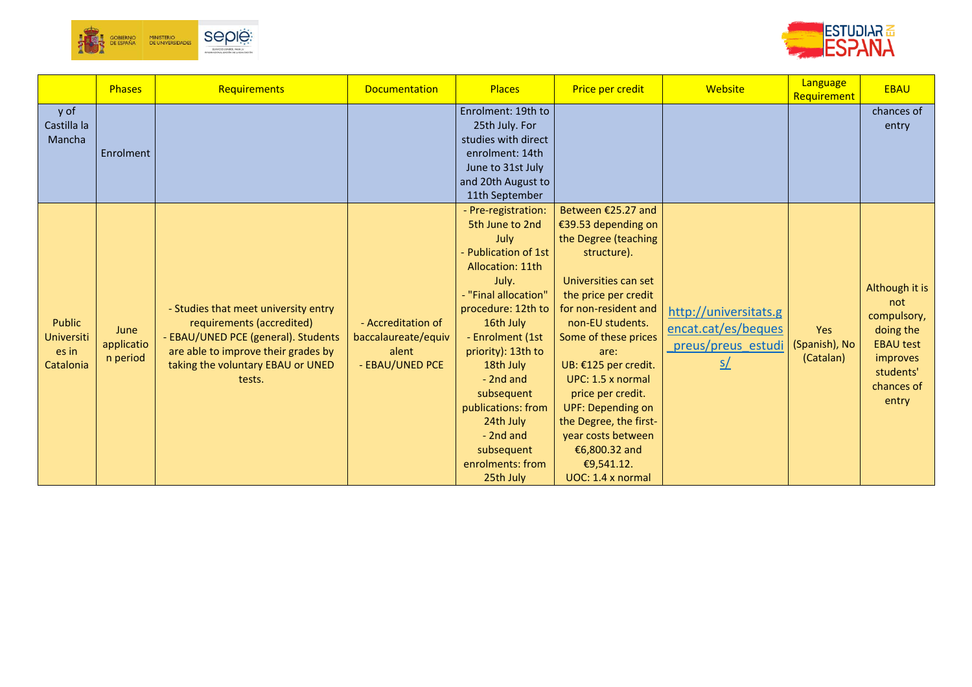



|                                                          | Phases                         | Requirements                                                                                                                                                                                   | <b>Documentation</b>                                                  | <b>Places</b>                                                                                                                                                                                                                                                                                                                                   | Price per credit                                                                                                                                                                                                                                                                                                                                                                                               | Website                                                                                        | Language<br>Requirement           | <b>EBAU</b>                                                                                                           |
|----------------------------------------------------------|--------------------------------|------------------------------------------------------------------------------------------------------------------------------------------------------------------------------------------------|-----------------------------------------------------------------------|-------------------------------------------------------------------------------------------------------------------------------------------------------------------------------------------------------------------------------------------------------------------------------------------------------------------------------------------------|----------------------------------------------------------------------------------------------------------------------------------------------------------------------------------------------------------------------------------------------------------------------------------------------------------------------------------------------------------------------------------------------------------------|------------------------------------------------------------------------------------------------|-----------------------------------|-----------------------------------------------------------------------------------------------------------------------|
| y of<br>Castilla la<br>Mancha                            | Enrolment                      |                                                                                                                                                                                                |                                                                       | Enrolment: 19th to<br>25th July. For<br>studies with direct<br>enrolment: 14th<br>June to 31st July<br>and 20th August to<br>11th September                                                                                                                                                                                                     |                                                                                                                                                                                                                                                                                                                                                                                                                |                                                                                                |                                   | chances of<br>entry                                                                                                   |
| <b>Public</b><br><b>Universiti</b><br>es in<br>Catalonia | June<br>applicatio<br>n period | - Studies that meet university entry<br>requirements (accredited)<br>- EBAU/UNED PCE (general). Students<br>are able to improve their grades by<br>taking the voluntary EBAU or UNED<br>tests. | - Accreditation of<br>baccalaureate/equiv<br>alent<br>- EBAU/UNED PCE | - Pre-registration:<br>5th June to 2nd<br>July<br>- Publication of 1st<br>Allocation: 11th<br>July.<br>- "Final allocation"<br>procedure: 12th to<br>16th July<br>- Enrolment (1st<br>priority): 13th to<br>18th July<br>- 2nd and<br>subsequent<br>publications: from<br>24th July<br>- 2nd and<br>subsequent<br>enrolments: from<br>25th July | Between €25.27 and<br>€39.53 depending on<br>the Degree (teaching<br>structure).<br>Universities can set<br>the price per credit<br>for non-resident and<br>non-EU students.<br>Some of these prices<br>are:<br>UB: €125 per credit.<br>UPC: 1.5 x normal<br>price per credit.<br><b>UPF: Depending on</b><br>the Degree, the first-<br>year costs between<br>€6,800.32 and<br>€9,541.12.<br>UOC: 1.4 x normal | http://universitats.g<br>encat.cat/es/beques<br>preus/preus estudi<br>$\underline{\mathsf{S}}$ | Yes<br>(Spanish), No<br>(Catalan) | Although it is<br>not<br>compulsory,<br>doing the<br><b>EBAU test</b><br>improves<br>students'<br>chances of<br>entry |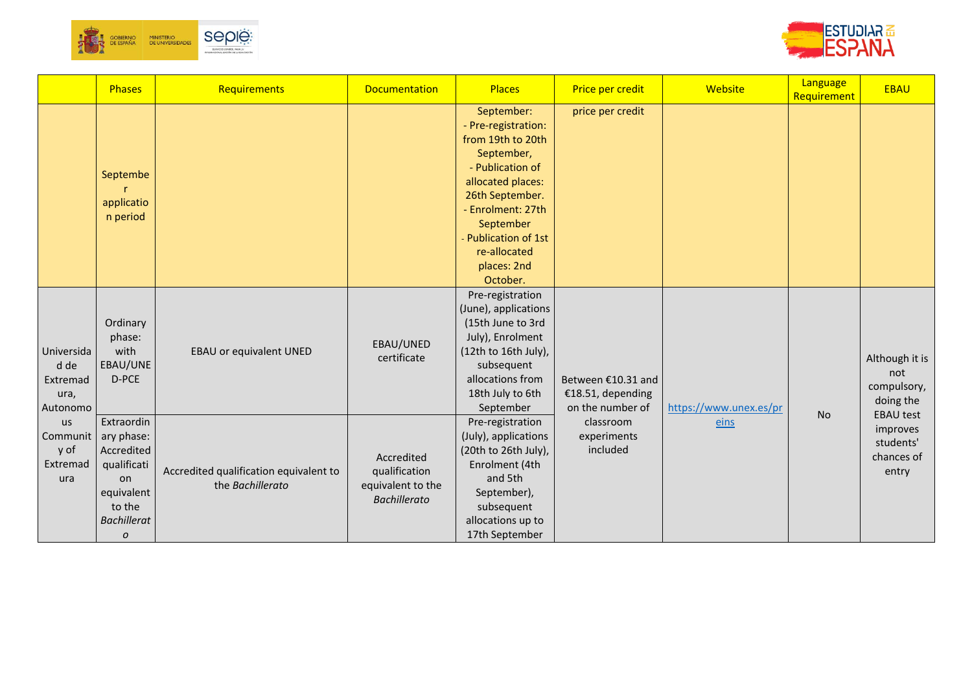



|                                                    | <b>Phases</b>                                                                                                  | Requirements                                               | <b>Documentation</b>                                                    | <b>Places</b>                                                                                                                                                                                                                       | Price per credit                                            | Website                | Language<br>Requirement | <b>EBAU</b>                                                           |
|----------------------------------------------------|----------------------------------------------------------------------------------------------------------------|------------------------------------------------------------|-------------------------------------------------------------------------|-------------------------------------------------------------------------------------------------------------------------------------------------------------------------------------------------------------------------------------|-------------------------------------------------------------|------------------------|-------------------------|-----------------------------------------------------------------------|
|                                                    | Septembe<br>applicatio<br>n period                                                                             |                                                            |                                                                         | September:<br>- Pre-registration:<br>from 19th to 20th<br>September,<br>- Publication of<br>allocated places:<br>26th September.<br>- Enrolment: 27th<br>September<br>Publication of 1st<br>re-allocated<br>places: 2nd<br>October. | price per credit                                            |                        |                         |                                                                       |
| Universida<br>d de<br>Extremad<br>ura,<br>Autonomo | Ordinary<br>phase:<br>with<br>EBAU/UNE<br>D-PCE                                                                | EBAU or equivalent UNED                                    | EBAU/UNED<br>certificate                                                | Pre-registration<br>(June), applications<br>(15th June to 3rd<br>July), Enrolment<br>(12th to 16th July),<br>subsequent<br>allocations from<br>18th July to 6th<br>September                                                        | Between €10.31 and<br>€18.51, depending<br>on the number of | https://www.unex.es/pr | <b>No</b>               | Although it is<br>not<br>compulsory,<br>doing the<br><b>EBAU test</b> |
| <b>us</b><br>Communit<br>y of<br>Extremad<br>ura   | Extraordin<br>ary phase:<br>Accredited<br>qualificati<br>on<br>equivalent<br>to the<br><b>Bachillerat</b><br>0 | Accredited qualification equivalent to<br>the Bachillerato | Accredited<br>qualification<br>equivalent to the<br><b>Bachillerato</b> | Pre-registration<br>(July), applications<br>(20th to 26th July),<br>Enrolment (4th<br>and 5th<br>September),<br>subsequent<br>allocations up to<br>17th September                                                                   | classroom<br>experiments<br>included                        | eins                   |                         | improves<br>students'<br>chances of<br>entry                          |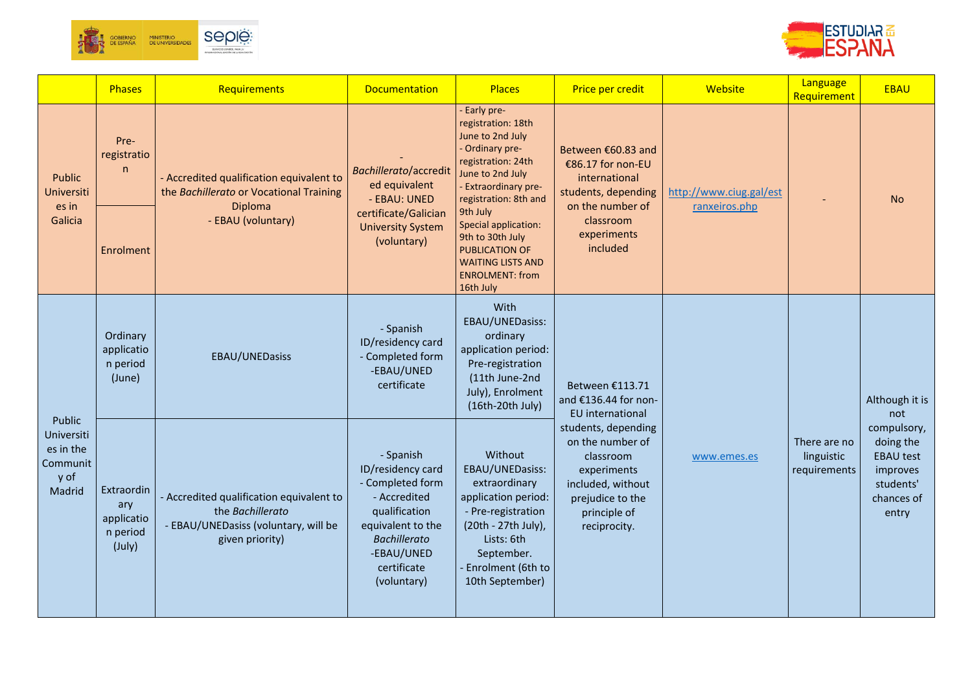



|                                                                        | Phases                                                | Requirements                                                                                                                | <b>Documentation</b>                                                                                                                                                        | <b>Places</b>                                                                                                                                                                                                                                                                                                        | Price per credit                                                                                                                             | Website                                  | Language<br>Requirement                    | <b>EBAU</b>                                                                                  |                       |
|------------------------------------------------------------------------|-------------------------------------------------------|-----------------------------------------------------------------------------------------------------------------------------|-----------------------------------------------------------------------------------------------------------------------------------------------------------------------------|----------------------------------------------------------------------------------------------------------------------------------------------------------------------------------------------------------------------------------------------------------------------------------------------------------------------|----------------------------------------------------------------------------------------------------------------------------------------------|------------------------------------------|--------------------------------------------|----------------------------------------------------------------------------------------------|-----------------------|
| Public<br>Universiti<br>es in<br>Galicia                               | Pre-<br>registratio<br>$\mathsf{n}$<br>Enrolment      | - Accredited qualification equivalent to<br>the Bachillerato or Vocational Training<br><b>Diploma</b><br>- EBAU (voluntary) | Bachillerato/accredit<br>ed equivalent<br>- EBAU: UNED<br>certificate/Galician<br><b>University System</b><br>(voluntary)                                                   | Early pre-<br>registration: 18th<br>June to 2nd July<br>- Ordinary pre-<br>registration: 24th<br>June to 2nd July<br><b>Extraordinary pre-</b><br>registration: 8th and<br>9th July<br>Special application:<br>9th to 30th July<br>PUBLICATION OF<br><b>WAITING LISTS AND</b><br><b>ENROLMENT: from</b><br>16th July | Between €60.83 and<br>€86.17 for non-EU<br>international<br>students, depending<br>on the number of<br>classroom<br>experiments<br>included  | http://www.ciug.gal/est<br>ranxeiros.php |                                            | <b>No</b>                                                                                    |                       |
|                                                                        | Ordinary<br>applicatio<br>n period<br>(June)          | EBAU/UNEDasiss                                                                                                              | - Spanish<br>ID/residency card<br>- Completed form<br>-EBAU/UNED<br>certificate                                                                                             | With<br>EBAU/UNEDasiss:<br>ordinary<br>application period:<br>Pre-registration<br>(11th June-2nd<br>July), Enrolment<br>(16th-20th July)                                                                                                                                                                             | Between €113.71<br>and €136.44 for non-<br>EU international                                                                                  |                                          |                                            |                                                                                              | Although it is<br>not |
| Public<br><b>Universiti</b><br>es in the<br>Communit<br>y of<br>Madrid | Extraordin<br>ary<br>applicatio<br>n period<br>(July) | - Accredited qualification equivalent to<br>the Bachillerato<br>- EBAU/UNEDasiss (voluntary, will be<br>given priority)     | - Spanish<br>ID/residency card<br>- Completed form<br>- Accredited<br>qualification<br>equivalent to the<br><b>Bachillerato</b><br>-EBAU/UNED<br>certificate<br>(voluntary) | Without<br>EBAU/UNEDasiss:<br>extraordinary<br>application period:<br>- Pre-registration<br>(20th - 27th July),<br>Lists: 6th<br>September.<br>Enrolment (6th to<br>10th September)                                                                                                                                  | students, depending<br>on the number of<br>classroom<br>experiments<br>included, without<br>prejudice to the<br>principle of<br>reciprocity. | www.emes.es                              | There are no<br>linguistic<br>requirements | compulsory,<br>doing the<br><b>EBAU test</b><br>improves<br>students'<br>chances of<br>entry |                       |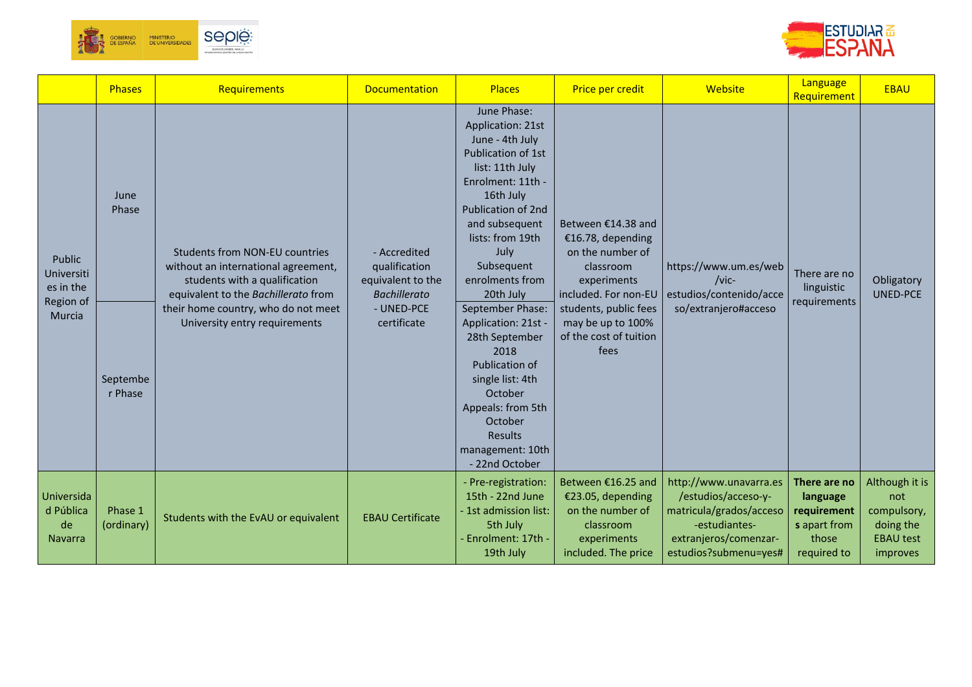



|                                                          | <b>Phases</b>                        | Requirements                                                                                                                                                                                                                 | <b>Documentation</b>                                                                                   | <b>Places</b>                                                                                                                                                                                                                                                                                                                                                                                                                                                         | Price per credit                                                                                                                                                                                | Website                                                                                                                                     | Language<br>Requirement                                                         | <b>EBAU</b>                                                                       |
|----------------------------------------------------------|--------------------------------------|------------------------------------------------------------------------------------------------------------------------------------------------------------------------------------------------------------------------------|--------------------------------------------------------------------------------------------------------|-----------------------------------------------------------------------------------------------------------------------------------------------------------------------------------------------------------------------------------------------------------------------------------------------------------------------------------------------------------------------------------------------------------------------------------------------------------------------|-------------------------------------------------------------------------------------------------------------------------------------------------------------------------------------------------|---------------------------------------------------------------------------------------------------------------------------------------------|---------------------------------------------------------------------------------|-----------------------------------------------------------------------------------|
| Public<br>Universiti<br>es in the<br>Region of<br>Murcia | June<br>Phase<br>Septembe<br>r Phase | <b>Students from NON-EU countries</b><br>without an international agreement,<br>students with a qualification<br>equivalent to the Bachillerato from<br>their home country, who do not meet<br>University entry requirements | - Accredited<br>qualification<br>equivalent to the<br><b>Bachillerato</b><br>- UNED-PCE<br>certificate | June Phase:<br>Application: 21st<br>June - 4th July<br>Publication of 1st<br>list: 11th July<br>Enrolment: 11th -<br>16th July<br><b>Publication of 2nd</b><br>and subsequent<br>lists: from 19th<br>July<br>Subsequent<br>enrolments from<br>20th July<br>September Phase:<br>Application: 21st -<br>28th September<br>2018<br>Publication of<br>single list: 4th<br>October<br>Appeals: from 5th<br>October<br><b>Results</b><br>management: 10th<br>- 22nd October | Between €14.38 and<br>€16.78, depending<br>on the number of<br>classroom<br>experiments<br>included. For non-EU<br>students, public fees<br>may be up to 100%<br>of the cost of tuition<br>fees | https://www.um.es/web<br>$/$ vic-<br>estudios/contenido/acce<br>so/extranjero#acceso                                                        | There are no<br>linguistic<br>requirements                                      | Obligatory<br><b>UNED-PCE</b>                                                     |
| Universida<br>d Pública<br>de<br><b>Navarra</b>          | Phase 1<br>(ordinary)                | Students with the EvAU or equivalent                                                                                                                                                                                         | <b>EBAU Certificate</b>                                                                                | - Pre-registration:<br>15th - 22nd June<br>- 1st admission list:<br>5th July<br>Enrolment: 17th -<br>19th July                                                                                                                                                                                                                                                                                                                                                        | Between €16.25 and<br>€23.05, depending<br>on the number of<br>classroom<br>experiments<br>included. The price                                                                                  | http://www.unavarra.es<br>/estudios/acceso-y-<br>matricula/grados/acceso<br>-estudiantes-<br>extranjeros/comenzar-<br>estudios?submenu=yes# | There are no<br>language<br>requirement<br>s apart from<br>those<br>required to | Although it is<br>not<br>compulsory,<br>doing the<br><b>EBAU test</b><br>improves |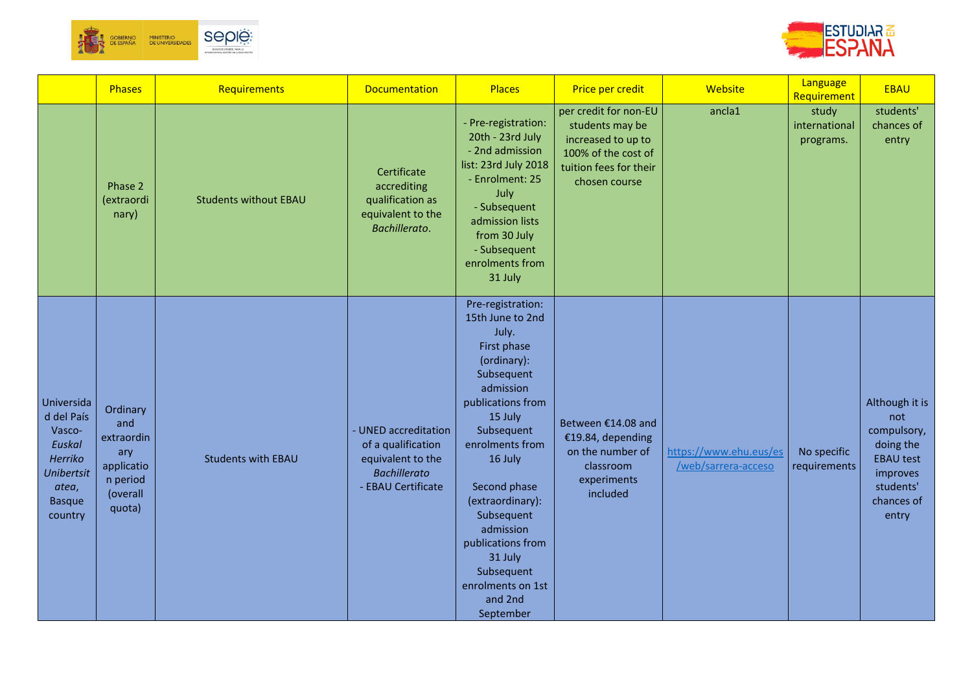



|                                                                                                                   | Phases                                                                               | Requirements                 | Documentation                                                                                                | <b>Places</b>                                                                                                                                                                                                                                                                                                                                 | Price per credit                                                                                                                 | Website                                       | Language<br>Requirement             | <b>EBAU</b>                                                                                                           |
|-------------------------------------------------------------------------------------------------------------------|--------------------------------------------------------------------------------------|------------------------------|--------------------------------------------------------------------------------------------------------------|-----------------------------------------------------------------------------------------------------------------------------------------------------------------------------------------------------------------------------------------------------------------------------------------------------------------------------------------------|----------------------------------------------------------------------------------------------------------------------------------|-----------------------------------------------|-------------------------------------|-----------------------------------------------------------------------------------------------------------------------|
|                                                                                                                   | Phase 2<br>(extraordi<br>nary)                                                       | <b>Students without EBAU</b> | Certificate<br>accrediting<br>qualification as<br>equivalent to the<br>Bachillerato.                         | - Pre-registration:<br>20th - 23rd July<br>- 2nd admission<br>list: 23rd July 2018<br>- Enrolment: 25<br>July<br>- Subsequent<br>admission lists<br>from 30 July<br>- Subsequent<br>enrolments from<br>31 July                                                                                                                                | per credit for non-EU<br>students may be<br>increased to up to<br>100% of the cost of<br>tuition fees for their<br>chosen course | ancla1                                        | study<br>international<br>programs. | students'<br>chances of<br>entry                                                                                      |
| Universida<br>d del País<br>Vasco-<br>Euskal<br>Herriko<br><b>Unibertsit</b><br>atea,<br><b>Basque</b><br>country | Ordinary<br>and<br>extraordin<br>ary<br>applicatio<br>n period<br>(overall<br>quota) | <b>Students with EBAU</b>    | - UNED accreditation<br>of a qualification<br>equivalent to the<br><b>Bachillerato</b><br>- EBAU Certificate | Pre-registration:<br>15th June to 2nd<br>July.<br>First phase<br>(ordinary):<br>Subsequent<br>admission<br>publications from<br>15 July<br>Subsequent<br>enrolments from<br>16 July<br>Second phase<br>(extraordinary):<br>Subsequent<br>admission<br>publications from<br>31 July<br>Subsequent<br>enrolments on 1st<br>and 2nd<br>September | Between €14.08 and<br>€19.84, depending<br>on the number of<br>classroom<br>experiments<br>included                              | https://www.ehu.eus/es<br>/web/sarrera-acceso | No specific<br>requirements         | Although it is<br>not<br>compulsory,<br>doing the<br><b>EBAU test</b><br>improves<br>students'<br>chances of<br>entry |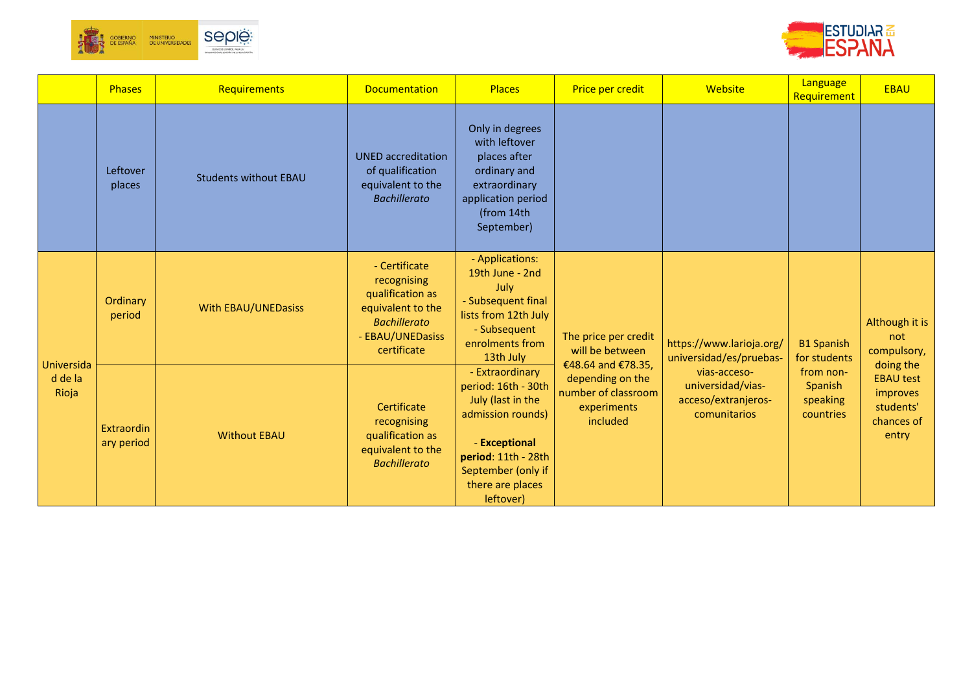



|                  | <b>Phases</b>            | Requirements                 | <b>Documentation</b>                                                                                                            | <b>Places</b>                                                                                                                                                                   | Price per credit                                                   | Website                                                                  | Language<br>Requirement                       | <b>EBAU</b>                                                                   |
|------------------|--------------------------|------------------------------|---------------------------------------------------------------------------------------------------------------------------------|---------------------------------------------------------------------------------------------------------------------------------------------------------------------------------|--------------------------------------------------------------------|--------------------------------------------------------------------------|-----------------------------------------------|-------------------------------------------------------------------------------|
|                  | Leftover<br>places       | <b>Students without EBAU</b> | <b>UNED</b> accreditation<br>of qualification<br>equivalent to the<br><b>Bachillerato</b>                                       | Only in degrees<br>with leftover<br>places after<br>ordinary and<br>extraordinary<br>application period<br>(from 14th<br>September)                                             |                                                                    |                                                                          |                                               |                                                                               |
| Universida       | Ordinary<br>period       | <b>With EBAU/UNEDasiss</b>   | - Certificate<br>recognising<br>qualification as<br>equivalent to the<br><b>Bachillerato</b><br>- EBAU/UNEDasiss<br>certificate | - Applications:<br>19th June - 2nd<br>July<br>- Subsequent final<br>lists from 12th July<br>- Subsequent<br>enrolments from<br>13th July                                        | The price per credit<br>will be between<br>€48.64 and €78.35,      | https://www.larioja.org/<br>universidad/es/pruebas-                      | <b>B1 Spanish</b><br>for students             | Although it is<br>not<br>compulsory,                                          |
| d de la<br>Rioja | Extraordin<br>ary period | <b>Without EBAU</b>          | Certificate<br>recognising<br>qualification as<br>equivalent to the<br><b>Bachillerato</b>                                      | - Extraordinary<br>period: 16th - 30th<br>July (last in the<br>admission rounds)<br>- Exceptional<br>period: 11th - 28th<br>September (only if<br>there are places<br>leftover) | depending on the<br>number of classroom<br>experiments<br>included | vias-acceso-<br>universidad/vias-<br>acceso/extranjeros-<br>comunitarios | from non-<br>Spanish<br>speaking<br>countries | doing the<br><b>EBAU test</b><br>improves<br>students'<br>chances of<br>entry |